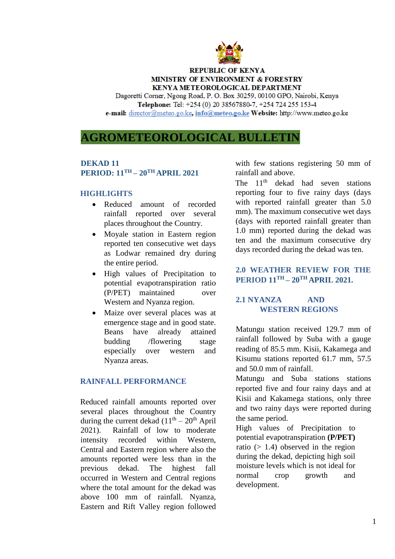

### **REPUBLIC OF KENYA MINISTRY OF ENVIRONMENT & FORESTRY KENYA METEOROLOGICAL DEPARTMENT**

Dagoretti Corner, Ngong Road, P. O. Box 30259, 00100 GPO, Nairobi, Kenya Telephone: Tel: +254 (0) 20 38567880-7, +254 724 255 153-4 e-mail: director@meteo.go.ke, info@meteo.go.ke Website: http://www.meteo.go.ke

# **AGROMETEOROLOGICAL BULLETIN**

# **DEKAD 11 PERIOD: 11 TH – 20 TH APRIL 2021**

#### **HIGHLIGHTS**

- Reduced amount of recorded rainfall reported over several places throughout the Country.
- Moyale station in Eastern region reported ten consecutive wet days as Lodwar remained dry during the entire period.
- High values of Precipitation to potential evapotranspiration ratio (P/PET) maintained over Western and Nyanza region.
- Maize over several places was at emergence stage and in good state. Beans have already attained budding /flowering stage especially over western and Nyanza areas.

### **RAINFALL PERFORMANCE**

Reduced rainfall amounts reported over several places throughout the Country during the current dekad  $(11<sup>th</sup> - 20<sup>th</sup>$  April 2021). Rainfall of low to moderate intensity recorded within Western, Central and Eastern region where also the amounts reported were less than in the previous dekad. The highest fall occurred in Western and Central regions where the total amount for the dekad was above 100 mm of rainfall. Nyanza, Eastern and Rift Valley region followed with few stations registering 50 mm of rainfall and above.

The  $11<sup>th</sup>$  dekad had seven stations reporting four to five rainy days (days with reported rainfall greater than 5.0 mm). The maximum consecutive wet days (days with reported rainfall greater than 1.0 mm) reported during the dekad was ten and the maximum consecutive dry days recorded during the dekad was ten.

## **2.0 WEATHER REVIEW FOR THE PERIOD 11TH – 20 TH APRIL 2021.**

# **2.1 NYANZA AND WESTERN REGIONS**

Matungu station received 129.7 mm of rainfall followed by Suba with a gauge reading of 85.5 mm. Kisii, Kakamega and Kisumu stations reported 61.7 mm, 57.5 and 50.0 mm of rainfall.

Matungu and Suba stations stations reported five and four rainy days and at Kisii and Kakamega stations, only three and two rainy days were reported during the same period.

High values of Precipitation to potential evapotranspiration **(P/PET)** ratio  $(> 1.4)$  observed in the region during the dekad, depicting high soil moisture levels which is not ideal for normal crop growth and development.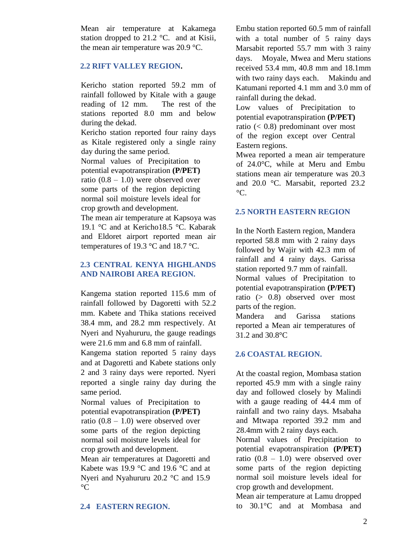Mean air temperature at Kakamega station dropped to  $21.2 \text{ °C}$ . and at Kisii, the mean air temperature was 20.9 °C.

### **2.2 RIFT VALLEY REGION.**

Kericho station reported 59.2 mm of rainfall followed by Kitale with a gauge reading of 12 mm. The rest of the stations reported 8.0 mm and below during the dekad.

Kericho station reported four rainy days as Kitale registered only a single rainy day during the same period.

Normal values of Precipitation to potential evapotranspiration **(P/PET)** ratio  $(0.8 - 1.0)$  were observed over some parts of the region depicting normal soil moisture levels ideal for crop growth and development.

The mean air temperature at Kapsoya was 19.1 °C and at Kericho18.5 °C. Kabarak and Eldoret airport reported mean air temperatures of 19.3 °C and 18.7 °C.

### **2.3 CENTRAL KENYA HIGHLANDS AND NAIROBI AREA REGION.**

Kangema station reported 115.6 mm of rainfall followed by Dagoretti with 52.2 mm. Kabete and Thika stations received 38.4 mm, and 28.2 mm respectively. At Nyeri and Nyahururu, the gauge readings were 21.6 mm and 6.8 mm of rainfall.

Kangema station reported 5 rainy days and at Dagoretti and Kabete stations only 2 and 3 rainy days were reported. Nyeri reported a single rainy day during the same period.

Normal values of Precipitation to potential evapotranspiration **(P/PET)** ratio  $(0.8 - 1.0)$  were observed over some parts of the region depicting normal soil moisture levels ideal for crop growth and development.

Mean air temperatures at Dagoretti and Kabete was 19.9 °C and 19.6 °C and at Nyeri and Nyahururu 20.2 °C and 15.9  $\rm ^{\circ}C$ 

### **2.4 EASTERN REGION.**

Embu station reported 60.5 mm of rainfall with a total number of 5 rainy days Marsabit reported 55.7 mm with 3 rainy days. Moyale, Mwea and Meru stations received 53.4 mm, 40.8 mm and 18.1mm with two rainy days each. Makindu and Katumani reported 4.1 mm and 3.0 mm of rainfall during the dekad.

Low values of Precipitation to potential evapotranspiration **(P/PET)** ratio (< 0.8) predominant over most of the region except over Central Eastern regions.

Mwea reported a mean air temperature of 24.0°C, while at Meru and Embu stations mean air temperature was 20.3 and 20.0 °C. Marsabit, reported 23.2  $\mathrm{C}$ .

### **2.5 NORTH EASTERN REGION**

In the North Eastern region, Mandera reported 58.8 mm with 2 rainy days followed by Wajir with 42.3 mm of rainfall and 4 rainy days. Garissa station reported 9.7 mm of rainfall. Normal values of Precipitation to potential evapotranspiration **(P/PET)** ratio (> 0.8) observed over most parts of the region.

Mandera and Garissa stations reported a Mean air temperatures of 31.2 and 30.8°C

### **2.6 COASTAL REGION.**

At the coastal region, Mombasa station reported 45.9 mm with a single rainy day and followed closely by Malindi with a gauge reading of 44.4 mm of rainfall and two rainy days. Msabaha and Mtwapa reported 39.2 mm and 28.4mm with 2 rainy days each.

Normal values of Precipitation to potential evapotranspiration **(P/PET)** ratio (0.8 – 1.0) were observed over some parts of the region depicting normal soil moisture levels ideal for crop growth and development.

Mean air temperature at Lamu dropped to 30.1°C and at Mombasa and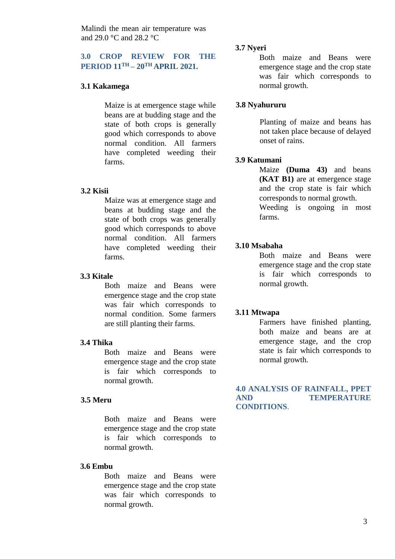Malindi the mean air temperature was and 29.0 °C and 28.2 °C

# **3.0 CROP REVIEW FOR THE PERIOD 11TH – 20 TH APRIL 2021.**

# **3.1 Kakamega**

Maize is at emergence stage while beans are at budding stage and the state of both crops is generally good which corresponds to above normal condition. All farmers have completed weeding their farms.

#### **3.2 Kisii**

Maize was at emergence stage and beans at budding stage and the state of both crops was generally good which corresponds to above normal condition. All farmers have completed weeding their farms.

#### **3.3 Kitale**

Both maize and Beans were emergence stage and the crop state was fair which corresponds to normal condition. Some farmers are still planting their farms.

#### **3.4 Thika**

Both maize and Beans were emergence stage and the crop state is fair which corresponds to normal growth.

### **3.5 Meru**

Both maize and Beans were emergence stage and the crop state is fair which corresponds to normal growth.

#### **3.6 Embu**

Both maize and Beans were emergence stage and the crop state was fair which corresponds to normal growth.

#### **3.7 Nyeri**

Both maize and Beans were emergence stage and the crop state was fair which corresponds to normal growth.

#### **3.8 Nyahururu**

Planting of maize and beans has not taken place because of delayed onset of rains.

#### **3.9 Katumani**

Maize **(Duma 43)** and beans **(KAT B1)** are at emergence stage and the crop state is fair which corresponds to normal growth. Weeding is ongoing in most farms.

### **3.10 Msabaha**

Both maize and Beans were emergence stage and the crop state is fair which corresponds to normal growth.

#### **3.11 Mtwapa**

Farmers have finished planting, both maize and beans are at emergence stage, and the crop state is fair which corresponds to normal growth.

#### **4.0 ANALYSIS OF RAINFALL, PPET AND TEMPERATURE CONDITIONS**.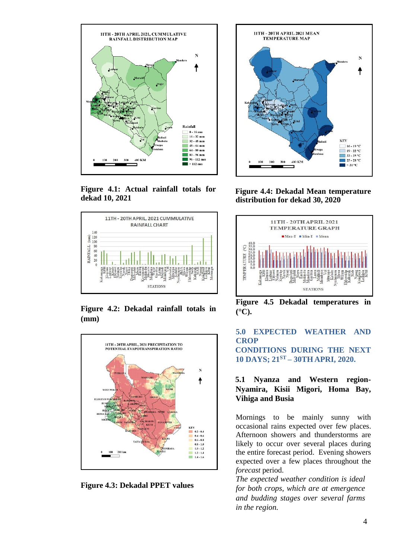

**Figure 4.1: Actual rainfall totals for dekad 10, 2021**



**Figure 4.2: Dekadal rainfall totals in (mm)** 



**Figure 4.3: Dekadal PPET values**



**Figure 4.4: Dekadal Mean temperature distribution for dekad 30, 2020**



**Figure 4.5 Dekadal temperatures in (°C).** 

# **5.0 EXPECTED WEATHER AND CROP**

**CONDITIONS DURING THE NEXT 10 DAYS; 21 ST – 30TH APRI, 2020.**

### **5.1 Nyanza and Western region-Nyamira, Kisii Migori, Homa Bay, Vihiga and Busia**

Mornings to be mainly sunny with occasional rains expected over few places. Afternoon showers and thunderstorms are likely to occur over several places during the entire forecast period. Evening showers expected over a few places throughout the *forecast* period.

*The expected weather condition is ideal for both crops, which are at emergence and budding stages over several farms in the region.*